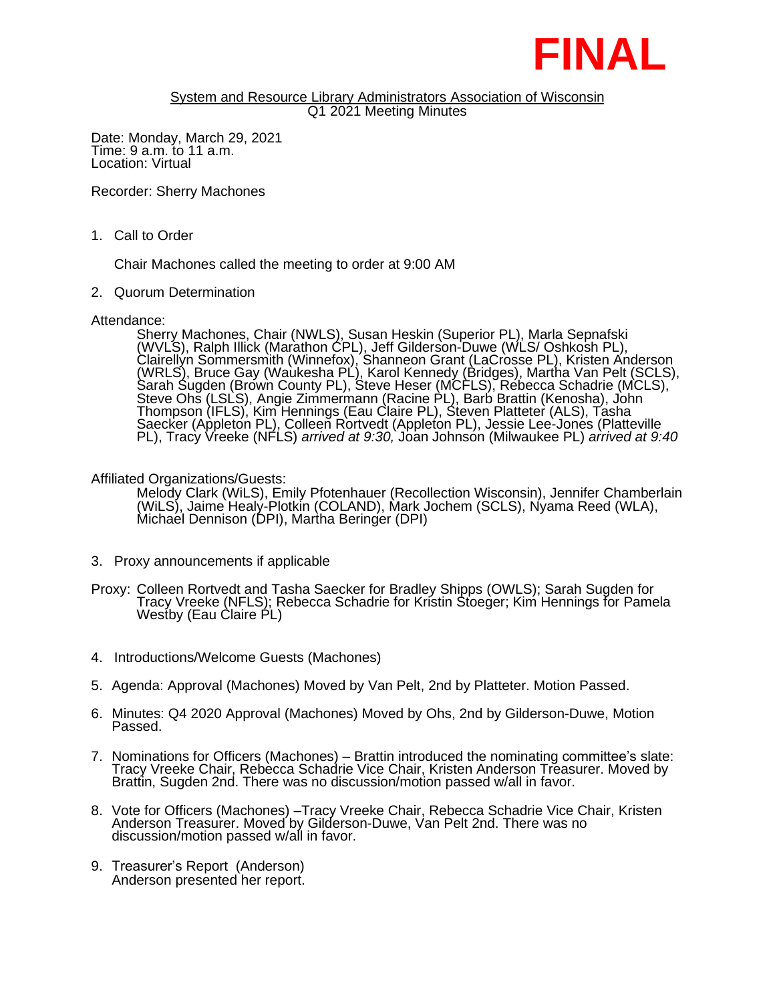

## System and Resource Library Administrators Association of Wisconsin Q1 2021 Meeting Minutes

Date: Monday, March 29, 2021 Time: 9 a.m. to 11 a.m. Location: Virtual

Recorder: Sherry Machones

1. Call to Order

Chair Machones called the meeting to order at 9:00 AM

2. Quorum Determination

Attendance:

Sherry Machones, Chair (NWLS), Susan Heskin (Superior PL), Marla Sepnafski (WVLS), Ralph Illick (Marathon CPL), Jeff Gilderson-Duwe (WLS/ Oshkosh PL), Clairellyn Sommersmith (Winnefox), Shanneon Grant (LaCrosse PL), Kristen Anderson (WRLS), Bruce Gay (Waukesha PL), Karol Kennedy (Bridges), Martha Van Pelt (SCLS), Sarah Sugden (Brown County PL), Steve Heser (MCFLS), Rebecca Schadrie (MCLS), Steve Ohs (LSLS), Angie Zimmermann (Racine PL), Barb Brattin (Kenosha), John Thompson (IFLS), Kim Hennings (Eau Claire PL), Steven Platteter (ALS), Tasha Saecker (Appleton PL), Colleen Rortvedt (Appleton PL), Jessie Lee-Jones (Platteville PL), Tracy Vreeke (NFLS) *arrived at 9:30,* Joan Johnson (Milwaukee PL) *arrived at 9:40*

Affiliated Organizations/Guests:

Melody Clark (WiLS), Emily Pfotenhauer (Recollection Wisconsin), Jennifer Chamberlain (WiLS), Jaime Healy-Plotkin (COLAND), Mark Jochem (SCLS), Nyama Reed (WLA), Michael Dennison (DPI), Martha Beringer (DPI)

- 3. Proxy announcements if applicable
- Proxy: Colleen Rortvedt and Tasha Saecker for Bradley Shipps (OWLS); Sarah Sugden for Tracy Vreeke (NFLS); Rebecca Schadrie for Kristin Stoeger; Kim Hennings for Pamela Westby (Eau Claire PL)
- 4. Introductions/Welcome Guests (Machones)
- 5. Agenda: Approval (Machones) Moved by Van Pelt, 2nd by Platteter. Motion Passed.
- 6. Minutes: Q4 2020 Approval (Machones) Moved by Ohs, 2nd by Gilderson-Duwe, Motion Passed.
- 7. Nominations for Officers (Machones) Brattin introduced the nominating committee's slate: Tracy Vreeke Chair, Rebecca Schadrie Vice Chair, Kristen Anderson Treasurer. Moved by Brattin, Sugden 2nd. There was no discussion/motion passed w/all in favor.
- 8. Vote for Officers (Machones) –Tracy Vreeke Chair, Rebecca Schadrie Vice Chair, Kristen Anderson Treasurer. Moved by Gilderson-Duwe, Van Pelt 2nd. There was no discussion/motion passed w/all in favor.
- 9. Treasurer's Report (Anderson) Anderson presented her report.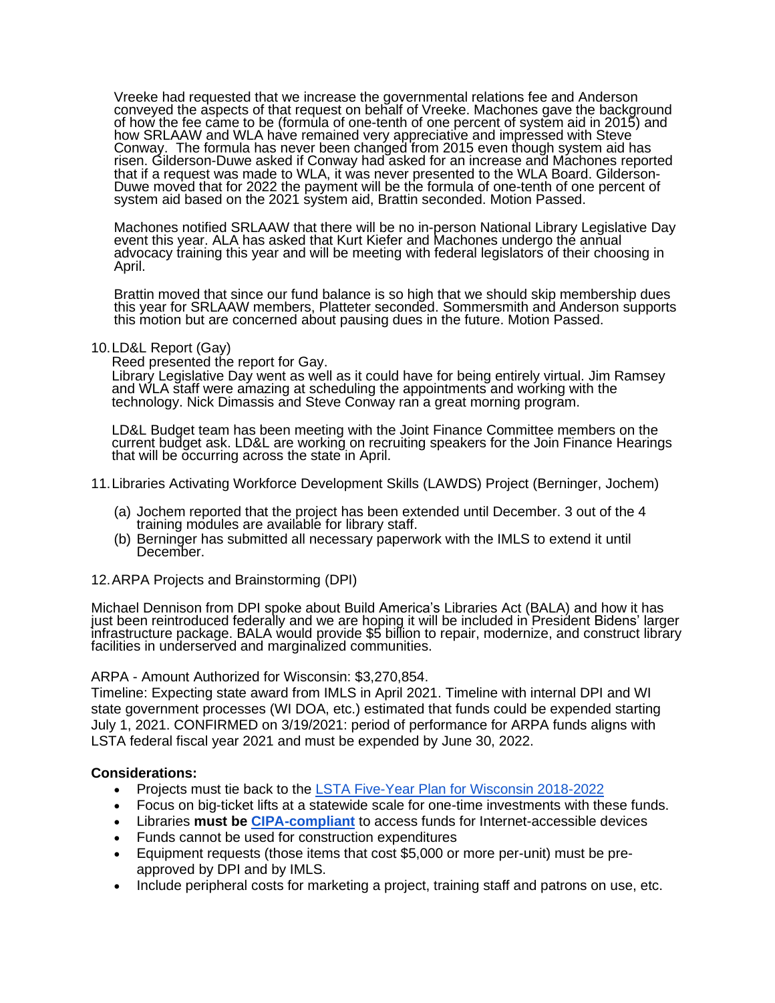Vreeke had requested that we increase the governmental relations fee and Anderson conveyed the aspects of that request on behalf of Vreeke. Machones gave the background of how the fee came to be (formula of one-tenth of one percent of system aid in 2015) and how SRLAAW and WLA have remained very appreciative and impressed with Steve Conway. The formula has never been changed from 2015 even though system aid has risen. Gilderson-Duwe asked if Conway had asked for an increase and Machones reported that if a request was made to WLA, it was never presented to the WLA Board. Gilderson-Duwe moved that for 2022 the payment will be the formula of one-tenth of one percent of system aid based on the 2021 system aid, Brattin seconded. Motion Passed.

Machones notified SRLAAW that there will be no in-person National Library Legislative Day event this year. ALA has asked that Kurt Kiefer and Machones undergo the annual advocacy training this year and will be meeting with federal legislators of their choosing in April.

Brattin moved that since our fund balance is so high that we should skip membership dues this year for SRLAAW members, Platteter seconded. Sommersmith and Anderson supports this motion but are concerned about pausing dues in the future. Motion Passed.

10.LD&L Report (Gay)

Reed presented the report for Gay.

Library Legislative Day went as well as it could have for being entirely virtual. Jim Ramsey and WLA staff were amazing at scheduling the appointments and working with the technology. Nick Dimassis and Steve Conway ran a great morning program.

LD&L Budget team has been meeting with the Joint Finance Committee members on the current budget ask. LD&L are working on recruiting speakers for the Join Finance Hearings that will be occurring across the state in April.

11.Libraries Activating Workforce Development Skills (LAWDS) Project (Berninger, Jochem)

- (a) Jochem reported that the project has been extended until December. 3 out of the 4 training modules are available for library staff.
- (b) Berninger has submitted all necessary paperwork with the IMLS to extend it until December.

12.ARPA Projects and Brainstorming (DPI)

Michael Dennison from DPI spoke about Build America's Libraries Act (BALA) and how it has just been reintroduced federally and we are hoping it will be included in President Bidens' larger infrastructure package. BALA would provide \$5 billion to repair, modernize, and construct library facilities in underserved and marginalized communities.

## ARPA - Amount Authorized for Wisconsin: \$3,270,854.

Timeline: Expecting state award from IMLS in April 2021. Timeline with internal DPI and WI state government processes (WI DOA, etc.) estimated that funds could be expended starting July 1, 2021. CONFIRMED on 3/19/2021: period of performance for ARPA funds aligns with LSTA federal fiscal year 2021 and must be expended by June 30, 2022.

## **Considerations:**

- Projects must tie back to the [LSTA Five-Year Plan for Wisconsin 2018-2022](https://dpi.wi.gov/sites/default/files/imce/pld/pdf/WisconsinLSTAPlan2018-2022-FINAL-IMLS-Submission.pdf)
- Focus on big-ticket lifts at a statewide scale for one-time investments with these funds.
- Libraries **must be [CIPA-compliant](https://dpi.wi.gov/sites/default/files/imce/pld/pdf/cipafaqlite.pdf)** to access funds for Internet-accessible devices
- Funds cannot be used for construction expenditures
- Equipment requests (those items that cost \$5,000 or more per-unit) must be preapproved by DPI and by IMLS.
- Include peripheral costs for marketing a project, training staff and patrons on use, etc.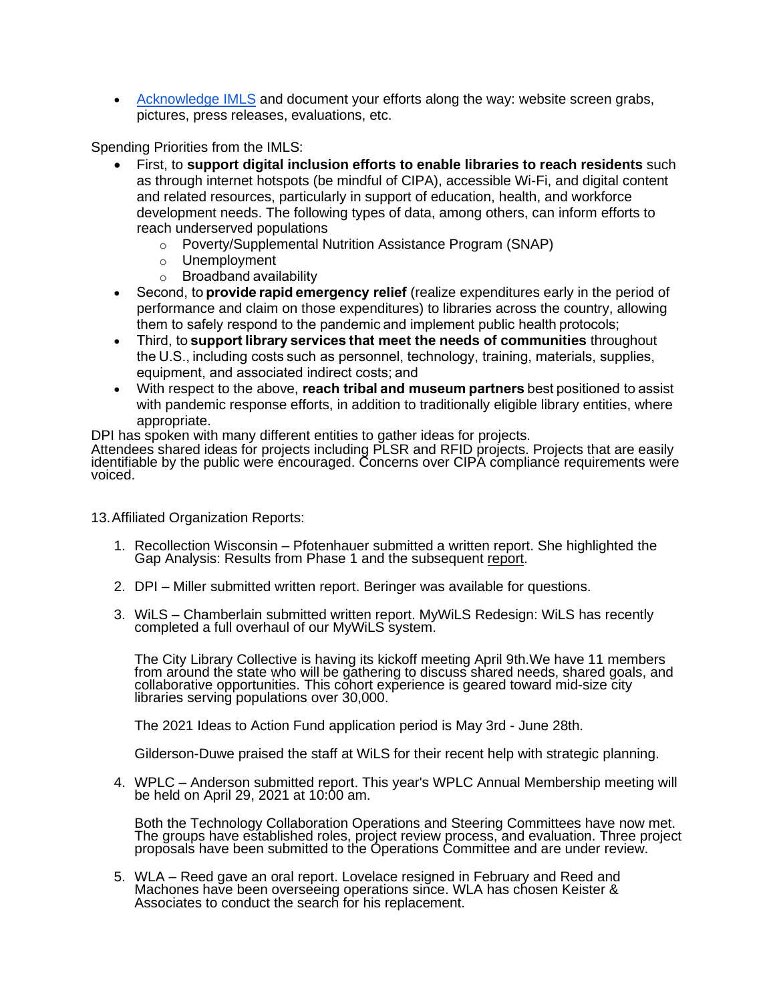• [Acknowledge IMLS](https://www.imls.gov/grants/manage-your-award/grantee-communications-kit/imls-acknowledgement-requirements) and document your efforts along the way: website screen grabs, pictures, press releases, evaluations, etc.

Spending Priorities from the IMLS:

- First, to **support digital inclusion efforts to enable libraries to reach residents** such as through internet hotspots (be mindful of CIPA), accessible Wi-Fi, and digital content and related resources, particularly in support of education, health, and workforce development needs. The following types of data, among others, can inform efforts to reach underserved populations
	- o Poverty/Supplemental Nutrition Assistance Program (SNAP)
	- o Unemployment
	- o Broadband availability
- Second, to **provide rapid emergency relief** (realize expenditures early in the period of performance and claim on those expenditures) to libraries across the country, allowing them to safely respond to the pandemic and implement public health protocols;
- Third, to **support library services that meet the needs of communities** throughout the U.S., including costs such as personnel, technology, training, materials, supplies, equipment, and associated indirect costs; and
- With respect to the above, **reach tribal and museum partners** best positioned to assist with pandemic response efforts, in addition to traditionally eligible library entities, where appropriate.

DPI has spoken with many different entities to gather ideas for projects.

Attendees shared ideas for projects including PLSR and RFID projects. Projects that are easily identifiable by the public were encouraged. Concerns over CIPA compliance requirements were voiced.

13.Affiliated Organization Reports:

- 1. Recollection Wisconsin Pfotenhauer submitted a written report. She highlighted the Gap Analysis: Results from Phase 1 and the subsequent [report.](https://recollectionwisconsin.org/wp-content/uploads/2020/12/Gap-Analysis-Phase-1-Report.pdf)
- 2. DPI Miller submitted written report. Beringer was available for questions.
- 3. WiLS Chamberlain submitted written report. MyWiLS Redesign: WiLS has recently completed a full overhaul of our MyWiLS system.

The City Library Collective is having its kickoff meeting April 9th.We have 11 members from around the state who will be gathering to discuss shared needs, shared goals, and collaborative opportunities. This cohort experience is geared toward mid-size city libraries serving populations over 30,000.

The 2021 Ideas to Action Fund application period is May 3rd - June 28th.

Gilderson-Duwe praised the staff at WiLS for their recent help with strategic planning.

4. WPLC – Anderson submitted report. This year's WPLC Annual Membership meeting will be held on April 29, 2021 at 10:00 am.

Both the Technology Collaboration Operations and Steering Committees have now met. The groups have established roles, project review process, and evaluation. Three project proposals have been submitted to the Operations Committee and are under review.

5. WLA – Reed gave an oral report. Lovelace resigned in February and Reed and Machones have been overseeing operations since. WLA has chosen Keister & Associates to conduct the search for his replacement.